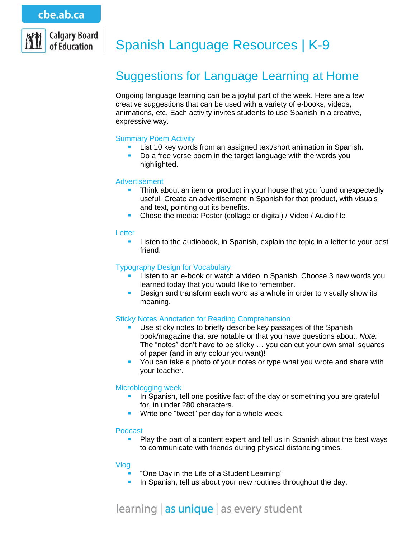

# Spanish Language Resources | K-9

# Suggestions for Language Learning at Home

Ongoing language learning can be a joyful part of the week. Here are a few creative suggestions that can be used with a variety of e-books, videos, animations, etc. Each activity invites students to use Spanish in a creative, expressive way.

# Summary Poem Activity

- **List 10 key words from an assigned text/short animation in Spanish.**
- Do a free verse poem in the target language with the words you highlighted.

#### Advertisement

- **Think about an item or product in your house that you found unexpectedly** useful. Create an advertisement in Spanish for that product, with visuals and text, pointing out its benefits.
- Chose the media: Poster (collage or digital) / Video / Audio file

#### **Letter**

**EXECT** Listen to the audiobook, in Spanish, explain the topic in a letter to your best friend.

#### Typography Design for Vocabulary

- **Listen to an e-book or watch a video in Spanish. Choose 3 new words you** learned today that you would like to remember.
- **Design and transform each word as a whole in order to visually show its** meaning.

# Sticky Notes Annotation for Reading Comprehension

- Use sticky notes to briefly describe key passages of the Spanish book/magazine that are notable or that you have questions about. *Note:* The "notes" don't have to be sticky … you can cut your own small squares of paper (and in any colour you want)!
- You can take a photo of your notes or type what you wrote and share with your teacher.

# Microblogging week

- In Spanish, tell one positive fact of the day or something you are grateful for, in under 280 characters.
- **Write one "tweet" per day for a whole week.**

#### Podcast

 Play the part of a content expert and tell us in Spanish about the best ways to communicate with friends during physical distancing times.

#### Vlog

- "One Day in the Life of a Student Learning"
- In Spanish, tell us about your new routines throughout the day.